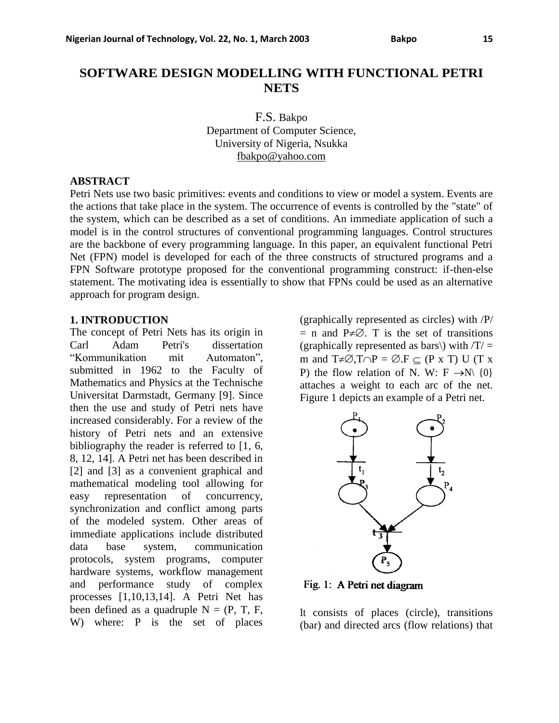# **SOFTWARE DESIGN MODELLING WITH FUNCTIONAL PETRI NETS**

F.S. Bakpo Department of Computer Science, University of Nigeria, Nsukka fbak[po@yahoo.com](mailto:o@yahoo.com)

### **ABSTRACT**

Petri Nets use two basic primitives: events and conditions to view or model a system. Events are the actions that take place in the system. The occurrence of events is controlled by the "state" of the system, which can be described as a set of conditions. An immediate application of such a model is in the control structures of conventional programming languages. Control structures are the backbone of every programming language. In this paper, an equivalent functional Petri Net (FPN) model is developed for each of the three constructs of structured programs and a FPN Software prototype proposed for the conventional programming construct: if-then-else statement. The motivating idea is essentially to show that FPNs could be used as an alternative approach for program design.

### **1. INTRODUCTION**

The concept of Petri Nets has its origin in Carl Adam Petri's dissertation "Kommunikation mit Automaton", submitted in 1962 to the Faculty of Mathematics and Physics at the Technische Universitat Darmstadt, Germany [9]. Since then the use and study of Petri nets have increased considerably. For a review of the history of Petri nets and an extensive bibliography the reader is referred to [1, 6, 8, 12, 14]. A Petri net has been described in [2] and [3] as a convenient graphical and mathematical modeling tool allowing for easy representation of concurrency, synchronization and conflict among parts of the modeled system. Other areas of immediate applications include distributed data base system, communication protocols, system programs, computer hardware systems, workflow management and performance study of complex processes [1,10,13,14]. A Petri Net has been defined as a quadruple  $N = (P, T, F, F)$ W) where: P is the set of places

(graphically represented as circles) with /P/  $=$  n and P $\neq \emptyset$ . T is the set of transitions (graphically represented as bars\) with  $/T =$ m and  $T \neq \emptyset, T \cap P = \emptyset$ . F  $\subseteq$  (P x T) U (T x P) the flow relation of N. W:  $F \rightarrow N \{0\}$ attaches a weight to each arc of the net. Figure 1 depicts an example of a Petri net.



Fig. 1: A Petri net diagram

It consists of places (circle), transitions (bar) and directed arcs (flow relations) that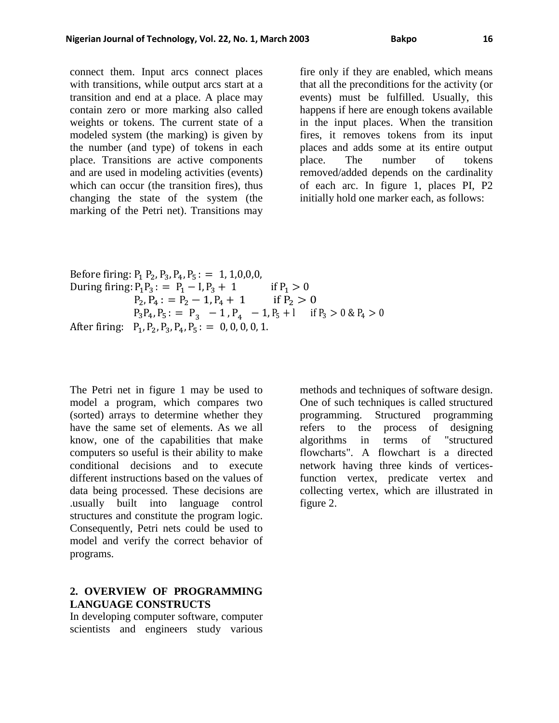connect them. Input arcs connect places with transitions, while output arcs start at a transition and end at a place. A place may contain zero or more marking also called weights or tokens. The current state of a modeled system (the marking) is given by the number (and type) of tokens in each place. Transitions are active components and are used in modeling activities (events) which can occur (the transition fires), thus changing the state of the system (the marking of the Petri net). Transitions may

fire only if they are enabled, which means that all the preconditions for the activity (or events) must be fulfilled. Usually, this happens if here are enough tokens available in the input places. When the transition fires, it removes tokens from its input places and adds some at its entire output place. The number of tokens removed/added depends on the cardinality of each arc. In figure 1, places PI, P2 initially hold one marker each, as follows:

Before firing: 
$$
P_1 P_2, P_3, P_4, P_5
$$
: = 1, 1, 0, 0, 0,  
During firing:  $P_1 P_3$ : =  $P_1 - I$ ,  $P_3 + 1$  if  $P_1 > 0$   
 $P_2, P_4$ : =  $P_2 - 1$ ,  $P_4 + 1$  if  $P_2 > 0$   
 $P_3 P_4, P_5$ : =  $P_3 - 1$ ,  $P_4 - 1$ ,  $P_5 + 1$  if  $P_3 > 0$  &  $P_4 > 0$   
After firing:  $P_1, P_2, P_3, P_4, P_5$ : = 0, 0, 0, 0, 1.

The Petri net in figure 1 may be used to model a program, which compares two (sorted) arrays to determine whether they have the same set of elements. As we all know, one of the capabilities that make computers so useful is their ability to make conditional decisions and to execute different instructions based on the values of data being processed. These decisions are .usually built into language control structures and constitute the program logic. Consequently, Petri nets could be used to model and verify the correct behavior of programs.

# **2. OVERVIEW OF PROGRAMMING LANGUAGE CONSTRUCTS**

In developing computer software, computer scientists and engineers study various

methods and techniques of software design. One of such techniques is called structured programming. Structured programming refers to the process of designing algorithms in terms of "structured flowcharts". A flowchart is a directed network having three kinds of verticesfunction vertex, predicate vertex and collecting vertex, which are illustrated in figure 2.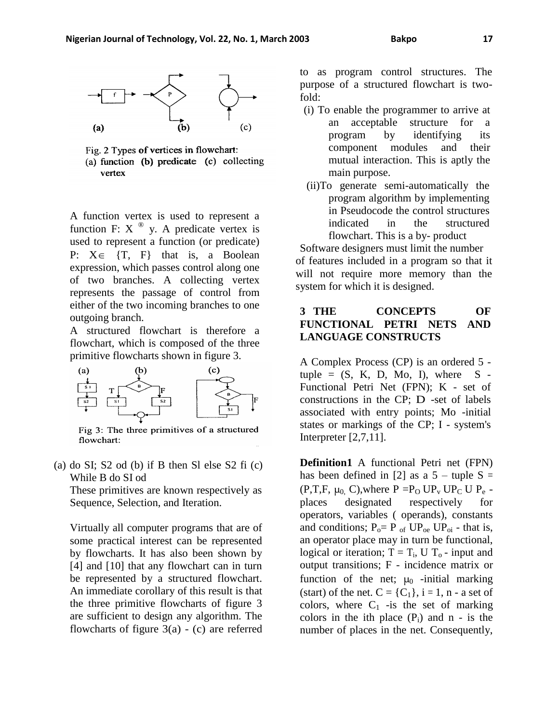



A function vertex is used to represent a function F:  $X^{\circledast}$  y. A predicate vertex is used to represent a function (or predicate) P:  $X \in \{T, F\}$  that is, a Boolean expression, which passes control along one of two branches. A collecting vertex represents the passage of control from either of the two incoming branches to one outgoing branch.

A structured flowchart is therefore a flowchart, which is composed of the three primitive flowcharts shown in figure 3.



Fig 3: The three primitives of a structured flowchart:

(a) do SI;  $S2$  od (b) if B then Sl else  $S2$  fi (c) While B do SI od

These primitives are known respectively as Sequence, Selection, and Iteration.

Virtually all computer programs that are of some practical interest can be represented by flowcharts. It has also been shown by [4] and [10] that any flowchart can in turn be represented by a structured flowchart. An immediate corollary of this result is that the three primitive flowcharts of figure 3 are sufficient to design any algorithm. The flowcharts of figure  $3(a) - (c)$  are referred to as program control structures. The purpose of a structured flowchart is twofold:

- (i) To enable the programmer to arrive at an acceptable structure for a program by identifying its component modules and their mutual interaction. This is aptly the main purpose.
- (ii)To generate semi-automatically the program algorithm by implementing in Pseudocode the control structures indicated in the structured flowchart. This is a by- product

Software designers must limit the number of features included in a program so that it will not require more memory than the system for which it is designed.

# **3 THE CONCEPTS OF FUNCTIONAL PETRI NETS AND LANGUAGE CONSTRUCTS**

A Complex Process (CP) is an ordered 5 tuple =  $(S, K, D, Mo, I)$ , where  $S -$ Functional Petri Net (FPN); K - set of constructions in the CP; D -set of labels associated with entry points; Mo -initial states or markings of the CP; I - system's Interpreter [2,7,11].

**Definition1** A functional Petri net (FPN) has been defined in [2] as a  $5 - \text{tuple } S =$ (P,T,F,  $\mu_0$ , C), where P = P<sub>O</sub> UP<sub>v</sub> UP<sub>C</sub> U P<sub>e</sub> places designated respectively for operators, variables ( operands), constants and conditions;  $P_0 = P_{of} UP_{oe} UP_{oi}$  - that is, an operator place may in turn be functional, logical or iteration;  $T = T_i$ , U  $T_o$  - input and output transitions; F - incidence matrix or function of the net;  $\mu_0$  -initial marking (start) of the net.  $C = \{C_1\}$ ,  $i = 1$ , n - a set of colors, where  $C_1$  -is the set of marking colors in the ith place  $(P_i)$  and n - is the number of places in the net. Consequently,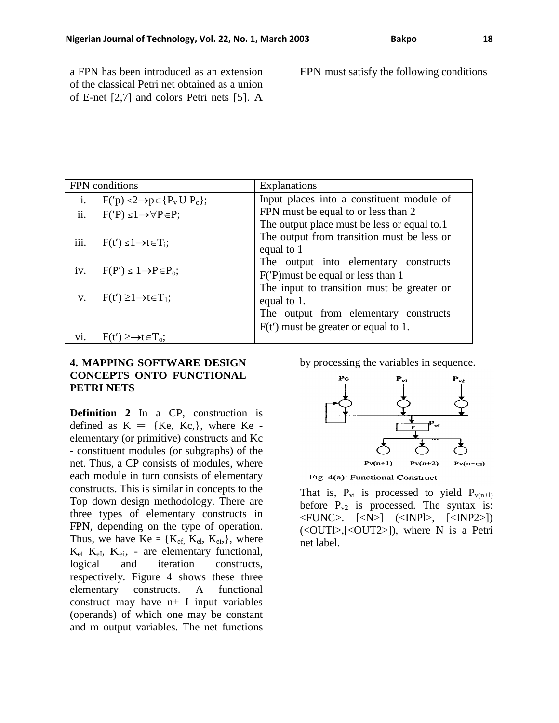a FPN has been introduced as an extension of the classical Petri net obtained as a union of E-net [2,7] and colors Petri nets [5]. A FPN must satisfy the following conditions

| FPN conditions |                                                 | Explanations                                |
|----------------|-------------------------------------------------|---------------------------------------------|
| i.             | $F'(p) \leq 2 \rightarrow p \in \{P_v U P_c\};$ | Input places into a constituent module of   |
| ii.            | $F('P) \leq 1 \rightarrow \forall P \in P;$     | FPN must be equal to or less than 2         |
|                |                                                 | The output place must be less or equal to.1 |
| iii.           | $F(t') \leq 1 \rightarrow t \in T_i$ ;          | The output from transition must be less or  |
|                |                                                 | equal to 1                                  |
|                |                                                 | The output into elementary constructs       |
| iv.            | $F(P') \leq 1 \rightarrow P \in P_0$ ;          | F('P) must be equal or less than 1          |
|                |                                                 | The input to transition must be greater or  |
| $V_{\star}$    | $F(t') \geq 1 \rightarrow t \in T_1$ ;          | equal to 1.                                 |
|                |                                                 | The output from elementary constructs       |
|                |                                                 | $F(t')$ must be greater or equal to 1.      |
| V1.            | $F(t') \ge \rightarrow t \in T_0$ :             |                                             |

### **4. MAPPING SOFTWARE DESIGN CONCEPTS ONTO FUNCTIONAL PETRI NETS**

**Definition 2** In a CP, construction is defined as  $K = \{Ke, Kc\}$ , where Ke elementary (or primitive) constructs and Kc - constituent modules (or subgraphs) of the net. Thus, a CP consists of modules, where each module in turn consists of elementary constructs. This is similar in concepts to the Top down design methodology. There are three types of elementary constructs in FPN, depending on the type of operation. Thus, we have  $Ke = \{K_{ef}, K_{el}, K_{ei},\}$ , where  $K_{ef}$   $K_{ei}$ ,  $K_{ei}$ , - are elementary functional, logical and iteration constructs, respectively. Figure 4 shows these three elementary constructs. A functional construct may have n+ I input variables (operands) of which one may be constant and m output variables. The net functions by processing the variables in sequence.



Fig. 4(a): Functional Construct

That is,  $P_{vi}$  is processed to yield  $P_{v(n+1)}$ before  $P_{v2}$  is processed. The syntax is: <FUNC>. [<N>] (<INPl>, [<INP2>]) (<OUTl>,[<OUT2>]), where N is a Petri net label.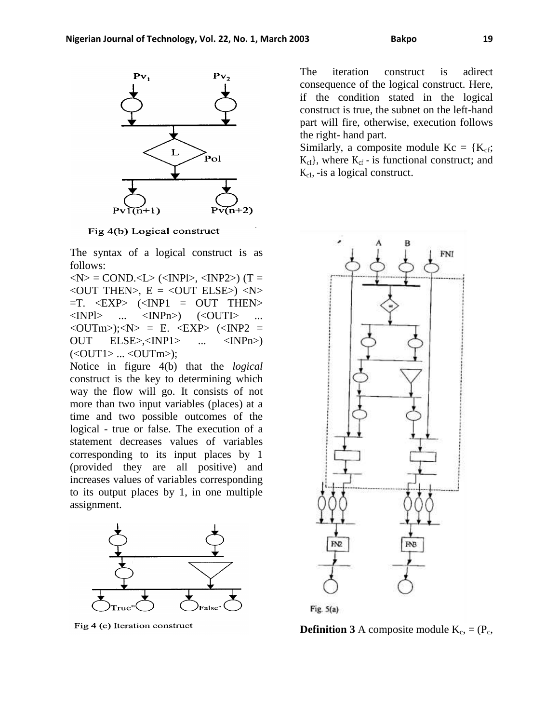

Fig 4(b) Logical construct

The syntax of a logical construct is as follows:

 $\langle N \rangle$  = COND. $\langle L \rangle$  ( $\langle NPL \rangle$ ,  $\langle NPL \rangle$ ) (T =  $\langle$  OUT THEN $>$ , E =  $\langle$  OUT ELSE $>$ )  $\langle$ N $>$  $=$ T.  $\langle$ EXP>  $(\langle$ INP1 = OUT THEN>  $\langle$ INPl> ...  $\langle$ INPn>)  $(\langle$ OUTI> ...  $\langle$ OUTm>); $\langle$ N> = E.  $\langle$ EXP>  $(\langle$ INP2 = OUT ELSE>,<INP1> ... <INPn>)  $(<$ OUT1> ...  $<$ OUTm>);

Notice in figure 4(b) that the *logical*  construct is the key to determining which way the flow will go. It consists of not more than two input variables (places) at a time and two possible outcomes of the logical - true or false. The execution of a statement decreases values of variables corresponding to its input places by 1 (provided they are all positive) and increases values of variables corresponding to its output places by 1, in one multiple assignment.



Fig 4 (c) Iteration construct

The iteration construct is adirect consequence of the logical construct. Here, if the condition stated in the logical construct is true, the subnet on the left-hand part will fire, otherwise, execution follows the right- hand part.

Similarly, a composite module  $Kc = \{K_{cf};$  $K_{cI}$ , where  $K_{cf}$  - is functional construct; and  $K_{c1}$ , -is a logical construct.



**Definition 3** A composite module  $K_c$ , =  $(P_c)$ ,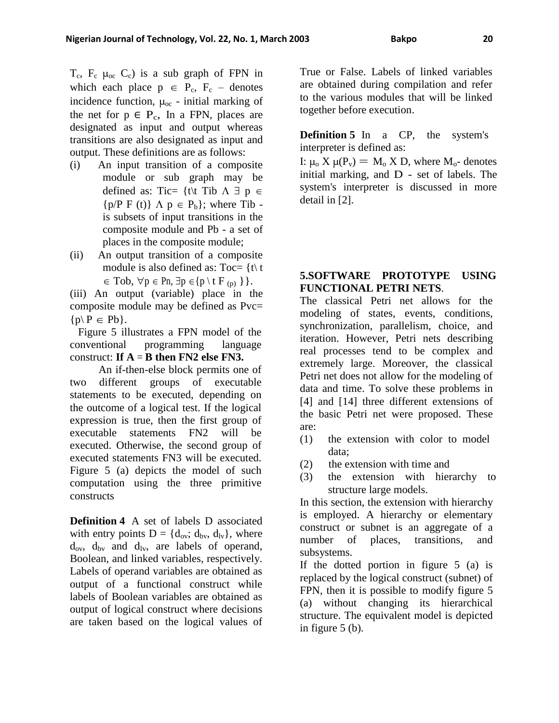$T_c$ ,  $F_c$   $\mu_{oc}$   $C_c$ ) is a sub graph of FPN in which each place  $p \in P_c$ ,  $F_c$  – denotes incidence function,  $\mu_{oc}$  - initial marking of the net for  $p \in P_c$ , In a FPN, places are designated as input and output whereas transitions are also designated as input and output. These definitions are as follows:

- (i) An input transition of a composite module or sub graph may be defined as: Tic= {t\t Tib  $\Lambda \exists p \in$  ${p/P F (t)} \Lambda p \in P_b$ ; where Tib is subsets of input transitions in the composite module and Pb - a set of places in the composite module;
- (ii) An output transition of a composite module is also defined as:  $Toc = \{t \mid t$  $\in$  Tob,  $\forall p \in Pn$ ,  $\exists p \in \{p \setminus t \in P(p)\}\}.$

(iii) An output (variable) place in the composite module may be defined as Pvc=  $\{p \mid P \in Pb\}.$ 

Figure 5 illustrates a FPN model of the conventional programming language construct: **If A** = **B then FN2 else FN3.** 

An if-then-else block permits one of two different groups of executable statements to be executed, depending on the outcome of a logical test. If the logical expression is true, then the first group of executable statements FN2 will be executed. Otherwise, the second group of executed statements FN3 will be executed. Figure 5 (a) depicts the model of such computation using the three primitive constructs

**Definition 4** A set of labels D associated with entry points  $D = \{d_{ov}; d_{bv}, d_{lv}\}$ , where  $d_{ov}$ ,  $d_{bv}$  and  $d_{lv}$ , are labels of operand, Boolean, and linked variables, respectively. Labels of operand variables are obtained as output of a functional construct while labels of Boolean variables are obtained as output of logical construct where decisions are taken based on the logical values of True or False. Labels of linked variables are obtained during compilation and refer to the various modules that will be linked together before execution.

**Definition 5** In a CP, the system's interpreter is defined as:

I:  $\mu_0 X \mu(P_v) = M_0 X D$ , where  $M_0$ - denotes initial marking, and D - set of labels. The system's interpreter is discussed in more detail in [2].

# **5.SOFTWARE PROTOTYPE USING FUNCTIONAL PETRI NETS**.

The classical Petri net allows for the modeling of states, events, conditions, synchronization, parallelism, choice, and iteration. However, Petri nets describing real processes tend to be complex and extremely large. Moreover, the classical Petri net does not allow for the modeling of data and time. To solve these problems in [4] and [14] three different extensions of the basic Petri net were proposed. These are:

- (1) the extension with color to model data;
- (2) the extension with time and
- (3) the extension with hierarchy to structure large models.

In this section, the extension with hierarchy is employed. A hierarchy or elementary construct or subnet is an aggregate of a number of places, transitions, and subsystems.

If the dotted portion in figure 5 (a) is replaced by the logical construct (subnet) of FPN, then it is possible to modify figure 5 (a) without changing its hierarchical structure. The equivalent model is depicted in figure 5 (b).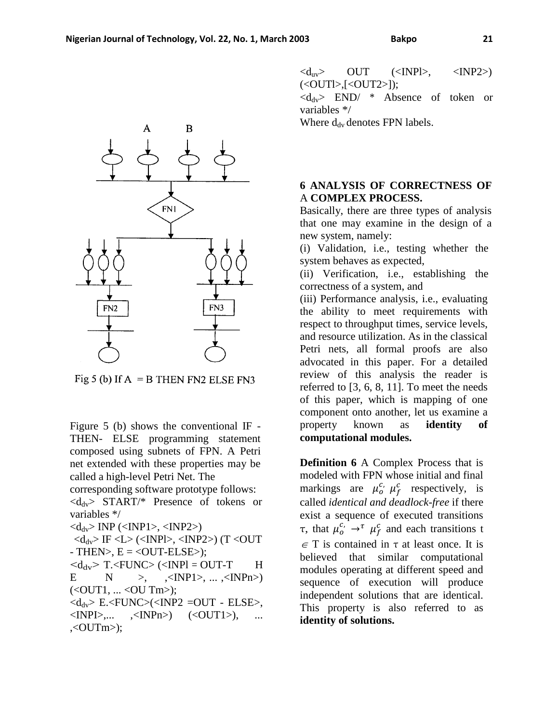(<OUTl>,[<OUT2>]);

 $\langle d_{\rm dv}\rangle$  END/ \* Absence of token or variables \*/

Where  $d_{\text{dv}}$  denotes FPN labels.

### **6 ANALYSIS OF CORRECTNESS OF**  A **COMPLEX PROCESS.**

Basically, there are three types of analysis that one may examine in the design of a new system, namely:

(i) Validation, i.e., testing whether the system behaves as expected,

(ii) Verification, i.e., establishing the correctness of a system, and

(iii) Performance analysis, i.e., evaluating the ability to meet requirements with respect to throughput times, service levels, and resource utilization. As in the classical Petri nets, all formal proofs are also advocated in this paper. For a detailed review of this analysis the reader is referred to [3, 6, 8, 11]. To meet the needs of this paper, which is mapping of one component onto another, let us examine a property known as **identity of computational modules.** 

**Definition 6** A Complex Process that is modeled with FPN whose initial and final markings are  $\mu_o^{c}$ ,  $\mu_f^{c}$  respectively, is called *identical and deadlock-free* if there exist a sequence of executed transitions τ, that  $\mu_o^{c}$  →<sup>τ</sup>  $\mu_f^c$  and each transitions t  $\in$  T is contained in  $\tau$  at least once. It is believed that similar computational modules operating at different speed and sequence of execution will produce independent solutions that are identical. This property is also referred to as **identity of solutions.** 



Figure 5 (b) shows the conventional IF - THEN- ELSE programming statement composed using subnets of FPN. A Petri net extended with these properties may be called a high-level Petri Net. The

corresponding software prototype follows:  $\langle d_{\rm dv} \rangle$  START/\* Presence of tokens or variables \*/

 $\langle d_{\rm dv} \rangle$  INP ( $\langle$ INP1>,  $\langle$ INP2>)

 $\langle d_{dv} \rangle$  IF  $\langle L \rangle$  ( $\langle NPL \rangle$ ,  $\langle NPL \rangle$ ) (T $\langle OUT$  $-$  THEN $>$ , E  $=$  <OUT-ELSE $>$ );

 $\langle d_{\rm dv} \rangle$  T. $\langle$ FUNC $\rangle$  ( $\langle$ INPl = OUT-T H E N >, ,<INP1>, ... ,<INPn>)  $(<$  OUT1, ... < OU Tm >);

 $\langle d_{dv} \rangle$  E. $\langle FUNC \rangle (\langle NP2 = OUT - ELSE \rangle)$ ,  $\langle NPL \rangle$ ,...  $\langle NPL \rangle$   $\langle \langle OUT1 \rangle$ ), ...  $\langle$  OUTm $>$ );

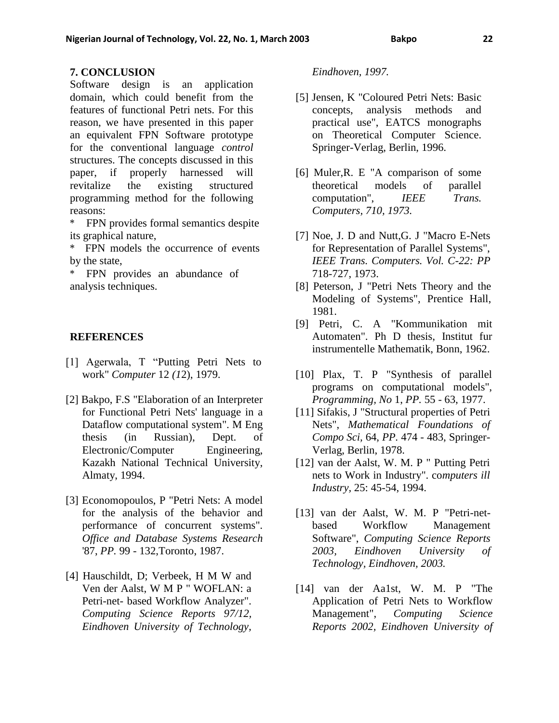### **7. CONCLUSION**

Software design is an application domain, which could benefit from the features of functional Petri nets. For this reason, we have presented in this paper an equivalent FPN Software prototype for the conventional language *control*  structures. The concepts discussed in this paper, if properly harnessed will revitalize the existing structured programming method for the following reasons:

\* FPN provides formal semantics despite its graphical nature,

\* FPN models the occurrence of events by the state,

\* FPN provides an abundance of analysis techniques.

### **REFERENCES**

- [1] Agerwala, T "Putting Petri Nets to work" *Computer* 12 *(1*2), 1979.
- [2] Bakpo, F.S "Elaboration of an Interpreter for Functional Petri Nets' language in a Dataflow computational system". M Eng thesis (in Russian), Dept. of Electronic/Computer Engineering, Kazakh National Technical University, Almaty, 1994.
- [3] Economopoulos, P "Petri Nets: A model for the analysis of the behavior and performance of concurrent systems". *Office and Database Systems Research*  '87, *PP.* 99 - 132,Toronto, 1987.
- [4] Hauschildt, D; Verbeek, H M W and Ven der Aalst, W M P " WOFLAN: a Petri-net- based Workflow Analyzer". *Computing Science Reports 97/12, Eindhoven University of Technology,*

### *Eindhoven, 1997.*

- [5] Jensen, K "Coloured Petri Nets: Basic concepts, analysis methods and practical use", EATCS monographs on Theoretical Computer Science. Springer-Verlag, Berlin, 1996.
- [6] Muler,R. E "A comparison of some theoretical models of parallel computation", *IEEE Trans. Computers, 710, 1973.*
- [7] Noe, J. D and Nutt,G. J "Macro E-Nets for Representation of Parallel Systems", *IEEE Trans. Computers. Vol. C-22: PP*  718-727, 1973.
- [8] Peterson, J "Petri Nets Theory and the Modeling of Systems", Prentice Hall, 1981.
- [9] Petri, C. A "Kommunikation mit Automaten". Ph D thesis, Institut fur instrumentelle Mathematik, Bonn, 1962.
- [10] Plax, T. P "Synthesis of parallel programs on computational models", *Programming, No* 1, *PP.* 55 - 63, 1977.
- [11] Sifakis, J "Structural properties of Petri Nets", *Mathematical Foundations of Compo Sci,* 64, *PP.* 474 - 483, Springer-Verlag, Berlin, 1978.
- [12] van der Aalst, W. M. P " Putting Petri nets to Work in Industry". co*mputers ill Industry,* 25: 45-54, 1994.
- [13] van der Aalst, W. M. P "Petri-netbased Workflow Management Software", *Computing Science Reports 2003, Eindhoven University of Technology, Eindhoven, 2003.*
- [14] van der Aa1st, W. M. P "The Application of Petri Nets to Workflow Management", *Computing Science Reports 2002, Eindhoven University of*